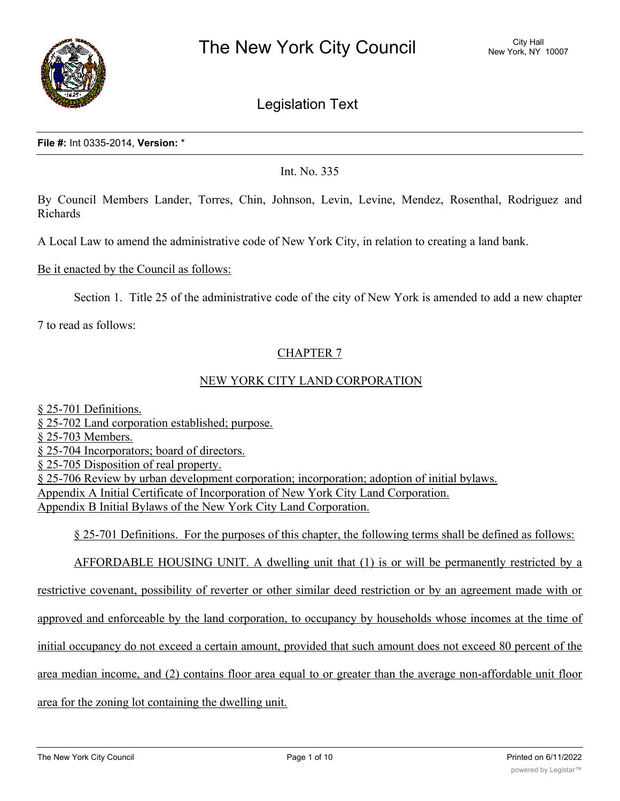

# Legislation Text

**File #:** Int 0335-2014, **Version:** \*

Int. No. 335

By Council Members Lander, Torres, Chin, Johnson, Levin, Levine, Mendez, Rosenthal, Rodriguez and Richards

A Local Law to amend the administrative code of New York City, in relation to creating a land bank.

Be it enacted by the Council as follows:

Section 1. Title 25 of the administrative code of the city of New York is amended to add a new chapter

7 to read as follows:

# CHAPTER 7

#### NEW YORK CITY LAND CORPORATION

§ 25-701 Definitions. § 25-702 Land corporation established; purpose. § 25-703 Members. § 25-704 Incorporators; board of directors. § 25-705 Disposition of real property. § 25-706 Review by urban development corporation; incorporation; adoption of initial bylaws. Appendix A Initial Certificate of Incorporation of New York City Land Corporation. Appendix B Initial Bylaws of the New York City Land Corporation.

§ 25-701 Definitions. For the purposes of this chapter, the following terms shall be defined as follows:

AFFORDABLE HOUSING UNIT. A dwelling unit that (1) is or will be permanently restricted by a

restrictive covenant, possibility of reverter or other similar deed restriction or by an agreement made with or

approved and enforceable by the land corporation, to occupancy by households whose incomes at the time of

initial occupancy do not exceed a certain amount, provided that such amount does not exceed 80 percent of the

area median income, and (2) contains floor area equal to or greater than the average non-affordable unit floor

area for the zoning lot containing the dwelling unit.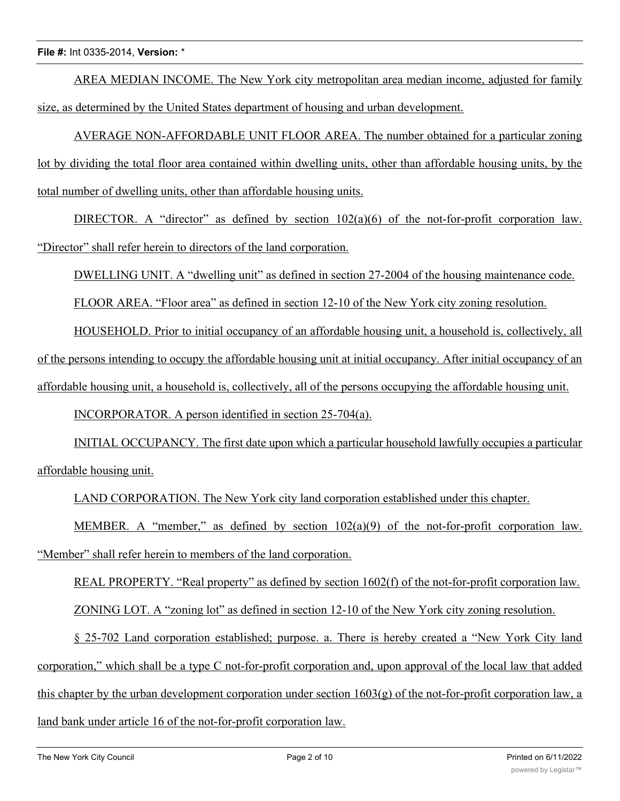AREA MEDIAN INCOME. The New York city metropolitan area median income, adjusted for family size, as determined by the United States department of housing and urban development.

AVERAGE NON-AFFORDABLE UNIT FLOOR AREA. The number obtained for a particular zoning lot by dividing the total floor area contained within dwelling units, other than affordable housing units, by the total number of dwelling units, other than affordable housing units.

DIRECTOR. A "director" as defined by section  $102(a)(6)$  of the not-for-profit corporation law. "Director" shall refer herein to directors of the land corporation.

DWELLING UNIT. A "dwelling unit" as defined in section 27-2004 of the housing maintenance code.

FLOOR AREA. "Floor area" as defined in section 12-10 of the New York city zoning resolution.

HOUSEHOLD. Prior to initial occupancy of an affordable housing unit, a household is, collectively, all of the persons intending to occupy the affordable housing unit at initial occupancy. After initial occupancy of an affordable housing unit, a household is, collectively, all of the persons occupying the affordable housing unit.

INCORPORATOR. A person identified in section 25-704(a).

INITIAL OCCUPANCY. The first date upon which a particular household lawfully occupies a particular affordable housing unit.

LAND CORPORATION. The New York city land corporation established under this chapter.

MEMBER. A "member," as defined by section  $102(a)(9)$  of the not-for-profit corporation law. "Member" shall refer herein to members of the land corporation.

REAL PROPERTY. "Real property" as defined by section 1602(f) of the not-for-profit corporation law. ZONING LOT. A "zoning lot" as defined in section 12-10 of the New York city zoning resolution.

§ 25-702 Land corporation established; purpose. a. There is hereby created a "New York City land corporation," which shall be a type C not-for-profit corporation and, upon approval of the local law that added this chapter by the urban development corporation under section  $1603(g)$  of the not-for-profit corporation law, a land bank under article 16 of the not-for-profit corporation law.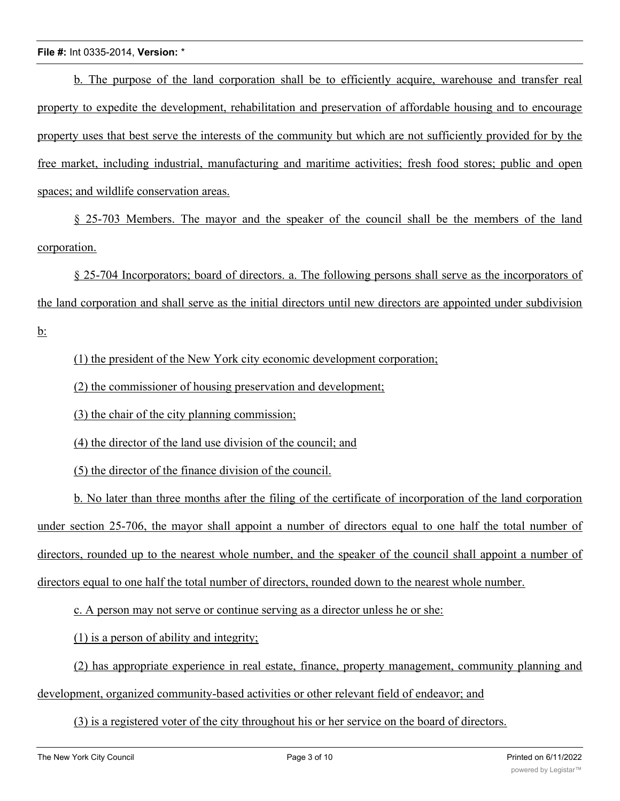b. The purpose of the land corporation shall be to efficiently acquire, warehouse and transfer real property to expedite the development, rehabilitation and preservation of affordable housing and to encourage property uses that best serve the interests of the community but which are not sufficiently provided for by the free market, including industrial, manufacturing and maritime activities; fresh food stores; public and open spaces; and wildlife conservation areas.

§ 25-703 Members. The mayor and the speaker of the council shall be the members of the land corporation.

§ 25-704 Incorporators; board of directors. a. The following persons shall serve as the incorporators of the land corporation and shall serve as the initial directors until new directors are appointed under subdivision  $b$ :

(1) the president of the New York city economic development corporation;

(2) the commissioner of housing preservation and development;

(3) the chair of the city planning commission;

(4) the director of the land use division of the council; and

(5) the director of the finance division of the council.

b. No later than three months after the filing of the certificate of incorporation of the land corporation under section 25-706, the mayor shall appoint a number of directors equal to one half the total number of directors, rounded up to the nearest whole number, and the speaker of the council shall appoint a number of directors equal to one half the total number of directors, rounded down to the nearest whole number.

c. A person may not serve or continue serving as a director unless he or she:

(1) is a person of ability and integrity;

(2) has appropriate experience in real estate, finance, property management, community planning and development, organized community-based activities or other relevant field of endeavor; and

(3) is a registered voter of the city throughout his or her service on the board of directors.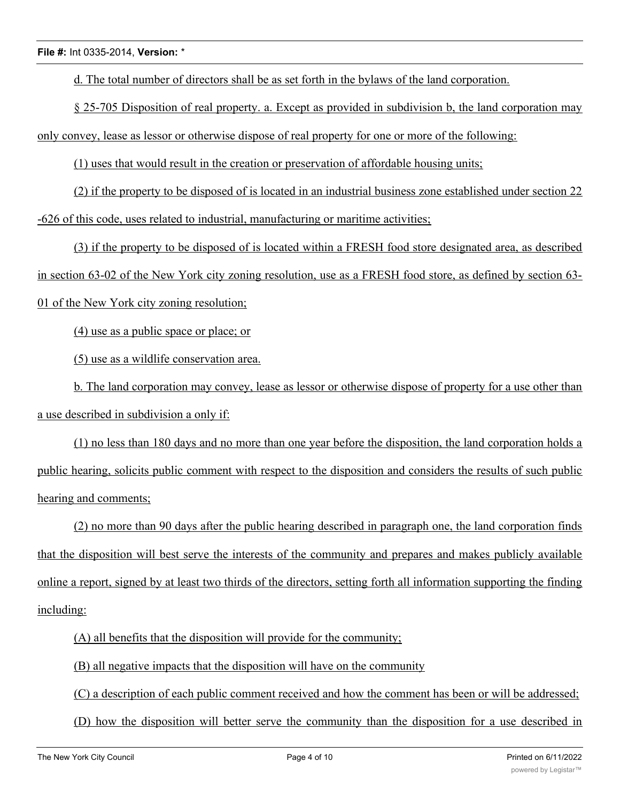d. The total number of directors shall be as set forth in the bylaws of the land corporation.

§ 25-705 Disposition of real property. a. Except as provided in subdivision b, the land corporation may only convey, lease as lessor or otherwise dispose of real property for one or more of the following:

(1) uses that would result in the creation or preservation of affordable housing units;

(2) if the property to be disposed of is located in an industrial business zone established under section 22 -626 of this code, uses related to industrial, manufacturing or maritime activities;

(3) if the property to be disposed of is located within a FRESH food store designated area, as described in section 63-02 of the New York city zoning resolution, use as a FRESH food store, as defined by section 63- 01 of the New York city zoning resolution;

(4) use as a public space or place; or

(5) use as a wildlife conservation area.

b. The land corporation may convey, lease as lessor or otherwise dispose of property for a use other than a use described in subdivision a only if:

(1) no less than 180 days and no more than one year before the disposition, the land corporation holds a public hearing, solicits public comment with respect to the disposition and considers the results of such public hearing and comments;

(2) no more than 90 days after the public hearing described in paragraph one, the land corporation finds that the disposition will best serve the interests of the community and prepares and makes publicly available online a report, signed by at least two thirds of the directors, setting forth all information supporting the finding including:

(A) all benefits that the disposition will provide for the community;

(B) all negative impacts that the disposition will have on the community

(C) a description of each public comment received and how the comment has been or will be addressed;

(D) how the disposition will better serve the community than the disposition for a use described in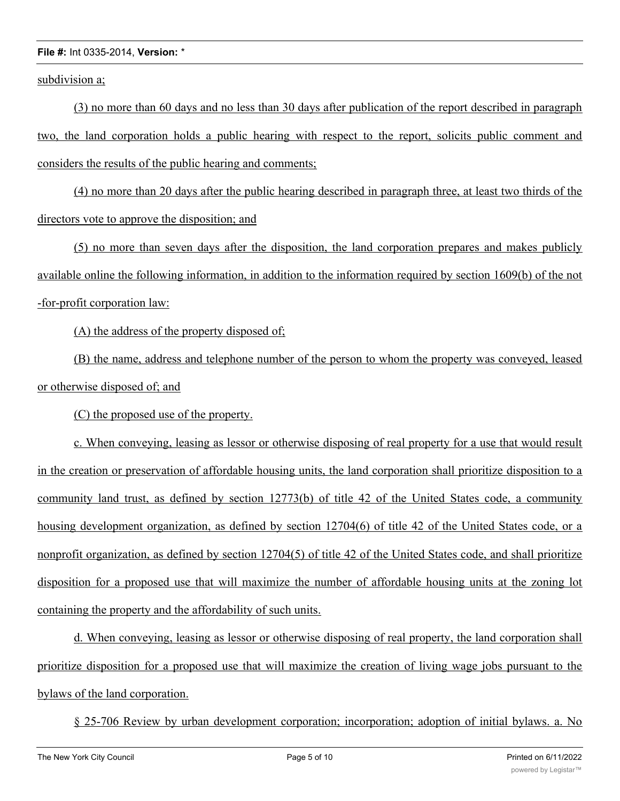subdivision a;

(3) no more than 60 days and no less than 30 days after publication of the report described in paragraph two, the land corporation holds a public hearing with respect to the report, solicits public comment and considers the results of the public hearing and comments;

(4) no more than 20 days after the public hearing described in paragraph three, at least two thirds of the directors vote to approve the disposition; and

(5) no more than seven days after the disposition, the land corporation prepares and makes publicly available online the following information, in addition to the information required by section 1609(b) of the not -for-profit corporation law:

(A) the address of the property disposed of;

(B) the name, address and telephone number of the person to whom the property was conveyed, leased or otherwise disposed of; and

(C) the proposed use of the property.

c. When conveying, leasing as lessor or otherwise disposing of real property for a use that would result in the creation or preservation of affordable housing units, the land corporation shall prioritize disposition to a community land trust, as defined by section 12773(b) of title 42 of the United States code, a community housing development organization, as defined by section 12704(6) of title 42 of the United States code, or a nonprofit organization, as defined by section 12704(5) of title 42 of the United States code, and shall prioritize disposition for a proposed use that will maximize the number of affordable housing units at the zoning lot containing the property and the affordability of such units.

d. When conveying, leasing as lessor or otherwise disposing of real property, the land corporation shall prioritize disposition for a proposed use that will maximize the creation of living wage jobs pursuant to the bylaws of the land corporation.

§ 25-706 Review by urban development corporation; incorporation; adoption of initial bylaws. a. No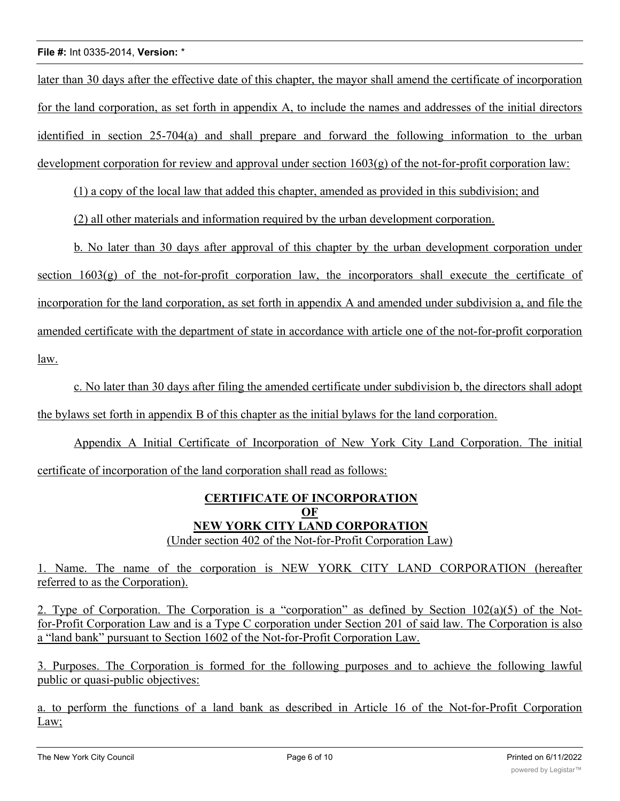later than 30 days after the effective date of this chapter, the mayor shall amend the certificate of incorporation for the land corporation, as set forth in appendix A, to include the names and addresses of the initial directors identified in section 25-704(a) and shall prepare and forward the following information to the urban development corporation for review and approval under section  $1603(g)$  of the not-for-profit corporation law:

(1) a copy of the local law that added this chapter, amended as provided in this subdivision; and

(2) all other materials and information required by the urban development corporation.

b. No later than 30 days after approval of this chapter by the urban development corporation under section  $1603(g)$  of the not-for-profit corporation law, the incorporators shall execute the certificate of incorporation for the land corporation, as set forth in appendix A and amended under subdivision a, and file the amended certificate with the department of state in accordance with article one of the not-for-profit corporation law.

c. No later than 30 days after filing the amended certificate under subdivision b, the directors shall adopt the bylaws set forth in appendix B of this chapter as the initial bylaws for the land corporation.

Appendix A Initial Certificate of Incorporation of New York City Land Corporation. The initial certificate of incorporation of the land corporation shall read as follows:

### **CERTIFICATE OF INCORPORATION OF NEW YORK CITY LAND CORPORATION** (Under section 402 of the Not-for-Profit Corporation Law)

1. Name. The name of the corporation is NEW YORK CITY LAND CORPORATION (hereafter referred to as the Corporation).

2. Type of Corporation. The Corporation is a "corporation" as defined by Section 102(a)(5) of the Notfor-Profit Corporation Law and is a Type C corporation under Section 201 of said law. The Corporation is also a "land bank" pursuant to Section 1602 of the Not-for-Profit Corporation Law.

3. Purposes. The Corporation is formed for the following purposes and to achieve the following lawful public or quasi-public objectives:

a. to perform the functions of a land bank as described in Article 16 of the Not-for-Profit Corporation Law;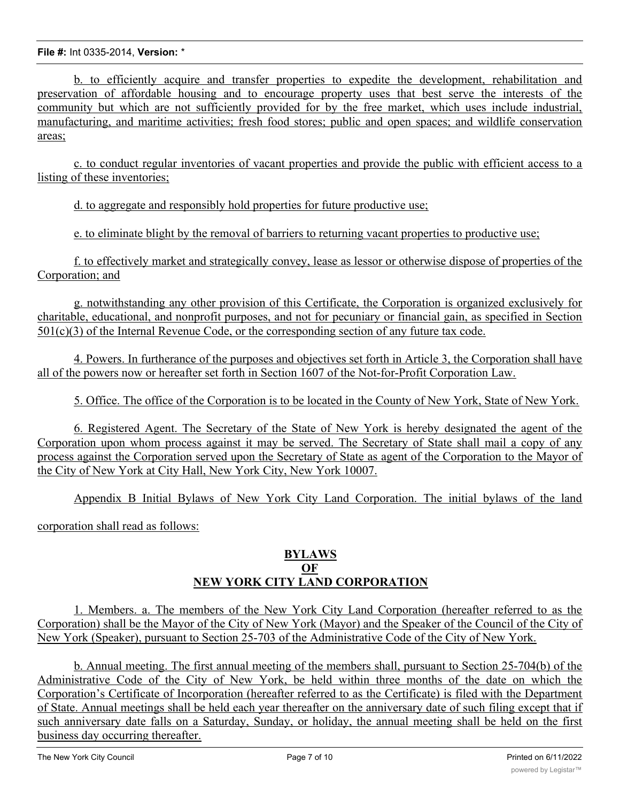b. to efficiently acquire and transfer properties to expedite the development, rehabilitation and preservation of affordable housing and to encourage property uses that best serve the interests of the community but which are not sufficiently provided for by the free market, which uses include industrial, manufacturing, and maritime activities; fresh food stores; public and open spaces; and wildlife conservation areas;

c. to conduct regular inventories of vacant properties and provide the public with efficient access to a listing of these inventories;

d. to aggregate and responsibly hold properties for future productive use;

e. to eliminate blight by the removal of barriers to returning vacant properties to productive use;

f. to effectively market and strategically convey, lease as lessor or otherwise dispose of properties of the Corporation; and

g. notwithstanding any other provision of this Certificate, the Corporation is organized exclusively for charitable, educational, and nonprofit purposes, and not for pecuniary or financial gain, as specified in Section 501(c)(3) of the Internal Revenue Code, or the corresponding section of any future tax code.

4. Powers. In furtherance of the purposes and objectives set forth in Article 3, the Corporation shall have all of the powers now or hereafter set forth in Section 1607 of the Not-for-Profit Corporation Law.

5. Office. The office of the Corporation is to be located in the County of New York, State of New York.

6. Registered Agent. The Secretary of the State of New York is hereby designated the agent of the Corporation upon whom process against it may be served. The Secretary of State shall mail a copy of any process against the Corporation served upon the Secretary of State as agent of the Corporation to the Mayor of the City of New York at City Hall, New York City, New York 10007.

Appendix B Initial Bylaws of New York City Land Corporation. The initial bylaws of the land corporation shall read as follows:

# **BYLAWS OF NEW YORK CITY LAND CORPORATION**

1. Members. a. The members of the New York City Land Corporation (hereafter referred to as the Corporation) shall be the Mayor of the City of New York (Mayor) and the Speaker of the Council of the City of New York (Speaker), pursuant to Section 25-703 of the Administrative Code of the City of New York.

b. Annual meeting. The first annual meeting of the members shall, pursuant to Section 25-704(b) of the Administrative Code of the City of New York, be held within three months of the date on which the Corporation's Certificate of Incorporation (hereafter referred to as the Certificate) is filed with the Department of State. Annual meetings shall be held each year thereafter on the anniversary date of such filing except that if such anniversary date falls on a Saturday, Sunday, or holiday, the annual meeting shall be held on the first business day occurring thereafter.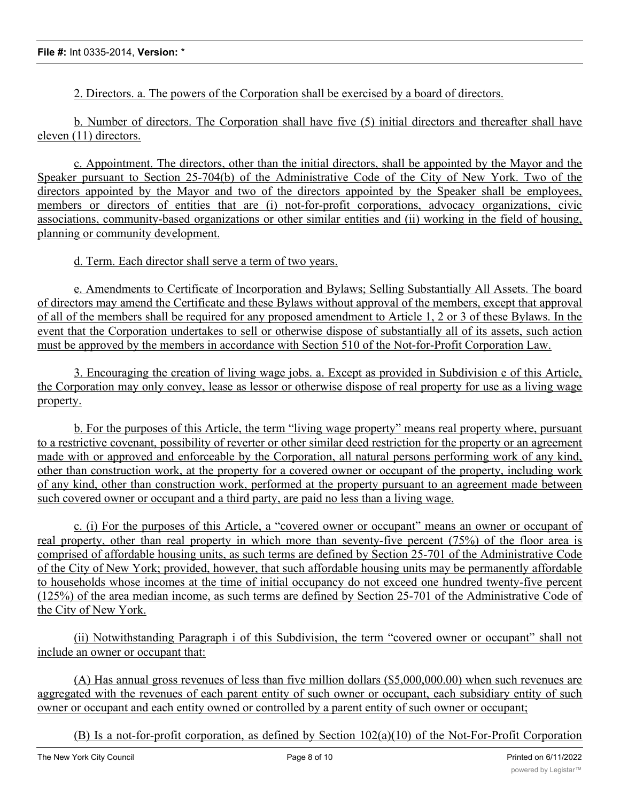2. Directors. a. The powers of the Corporation shall be exercised by a board of directors.

b. Number of directors. The Corporation shall have five (5) initial directors and thereafter shall have eleven (11) directors.

c. Appointment. The directors, other than the initial directors, shall be appointed by the Mayor and the Speaker pursuant to Section 25-704(b) of the Administrative Code of the City of New York. Two of the directors appointed by the Mayor and two of the directors appointed by the Speaker shall be employees, members or directors of entities that are (i) not-for-profit corporations, advocacy organizations, civic associations, community-based organizations or other similar entities and (ii) working in the field of housing, planning or community development.

d. Term. Each director shall serve a term of two years.

e. Amendments to Certificate of Incorporation and Bylaws; Selling Substantially All Assets. The board of directors may amend the Certificate and these Bylaws without approval of the members, except that approval of all of the members shall be required for any proposed amendment to Article 1, 2 or 3 of these Bylaws. In the event that the Corporation undertakes to sell or otherwise dispose of substantially all of its assets, such action must be approved by the members in accordance with Section 510 of the Not-for-Profit Corporation Law.

3. Encouraging the creation of living wage jobs. a. Except as provided in Subdivision e of this Article, the Corporation may only convey, lease as lessor or otherwise dispose of real property for use as a living wage property.

b. For the purposes of this Article, the term "living wage property" means real property where, pursuant to a restrictive covenant, possibility of reverter or other similar deed restriction for the property or an agreement made with or approved and enforceable by the Corporation, all natural persons performing work of any kind, other than construction work, at the property for a covered owner or occupant of the property, including work of any kind, other than construction work, performed at the property pursuant to an agreement made between such covered owner or occupant and a third party, are paid no less than a living wage.

c. (i) For the purposes of this Article, a "covered owner or occupant" means an owner or occupant of real property, other than real property in which more than seventy-five percent (75%) of the floor area is comprised of affordable housing units, as such terms are defined by Section 25-701 of the Administrative Code of the City of New York; provided, however, that such affordable housing units may be permanently affordable to households whose incomes at the time of initial occupancy do not exceed one hundred twenty-five percent (125%) of the area median income, as such terms are defined by Section 25-701 of the Administrative Code of the City of New York.

(ii) Notwithstanding Paragraph i of this Subdivision, the term "covered owner or occupant" shall not include an owner or occupant that:

(A) Has annual gross revenues of less than five million dollars (\$5,000,000.00) when such revenues are aggregated with the revenues of each parent entity of such owner or occupant, each subsidiary entity of such owner or occupant and each entity owned or controlled by a parent entity of such owner or occupant;

(B) Is a not-for-profit corporation, as defined by Section 102(a)(10) of the Not-For-Profit Corporation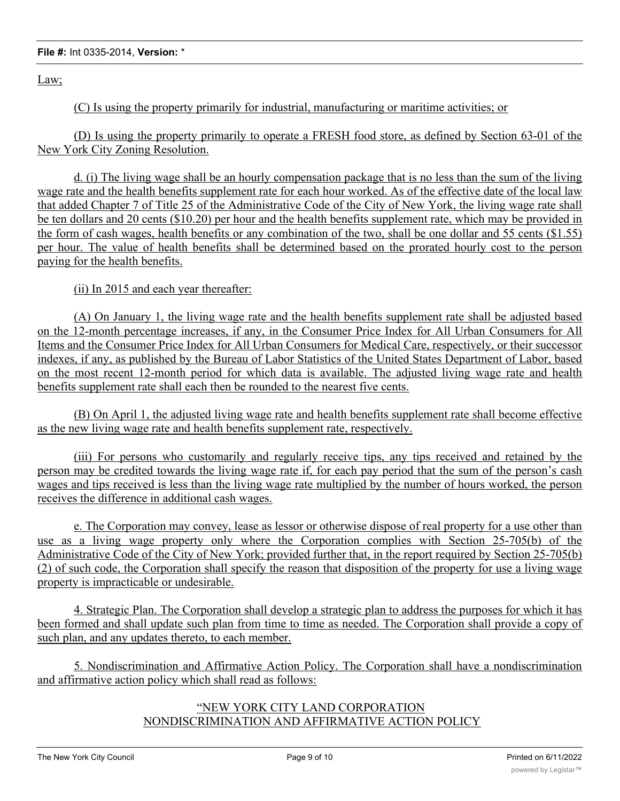Law;

(C) Is using the property primarily for industrial, manufacturing or maritime activities; or

(D) Is using the property primarily to operate a FRESH food store, as defined by Section 63-01 of the New York City Zoning Resolution.

d. (i) The living wage shall be an hourly compensation package that is no less than the sum of the living wage rate and the health benefits supplement rate for each hour worked. As of the effective date of the local law that added Chapter 7 of Title 25 of the Administrative Code of the City of New York, the living wage rate shall be ten dollars and 20 cents (\$10.20) per hour and the health benefits supplement rate, which may be provided in the form of cash wages, health benefits or any combination of the two, shall be one dollar and 55 cents (\$1.55) per hour. The value of health benefits shall be determined based on the prorated hourly cost to the person paying for the health benefits.

(ii) In 2015 and each year thereafter:

(A) On January 1, the living wage rate and the health benefits supplement rate shall be adjusted based on the 12-month percentage increases, if any, in the Consumer Price Index for All Urban Consumers for All Items and the Consumer Price Index for All Urban Consumers for Medical Care, respectively, or their successor indexes, if any, as published by the Bureau of Labor Statistics of the United States Department of Labor, based on the most recent 12-month period for which data is available. The adjusted living wage rate and health benefits supplement rate shall each then be rounded to the nearest five cents.

(B) On April 1, the adjusted living wage rate and health benefits supplement rate shall become effective as the new living wage rate and health benefits supplement rate, respectively.

(iii) For persons who customarily and regularly receive tips, any tips received and retained by the person may be credited towards the living wage rate if, for each pay period that the sum of the person's cash wages and tips received is less than the living wage rate multiplied by the number of hours worked, the person receives the difference in additional cash wages.

e. The Corporation may convey, lease as lessor or otherwise dispose of real property for a use other than use as a living wage property only where the Corporation complies with Section 25-705(b) of the Administrative Code of the City of New York; provided further that, in the report required by Section 25-705(b) (2) of such code, the Corporation shall specify the reason that disposition of the property for use a living wage property is impracticable or undesirable.

4. Strategic Plan. The Corporation shall develop a strategic plan to address the purposes for which it has been formed and shall update such plan from time to time as needed. The Corporation shall provide a copy of such plan, and any updates thereto, to each member.

5. Nondiscrimination and Affirmative Action Policy. The Corporation shall have a nondiscrimination and affirmative action policy which shall read as follows:

# "NEW YORK CITY LAND CORPORATION NONDISCRIMINATION AND AFFIRMATIVE ACTION POLICY